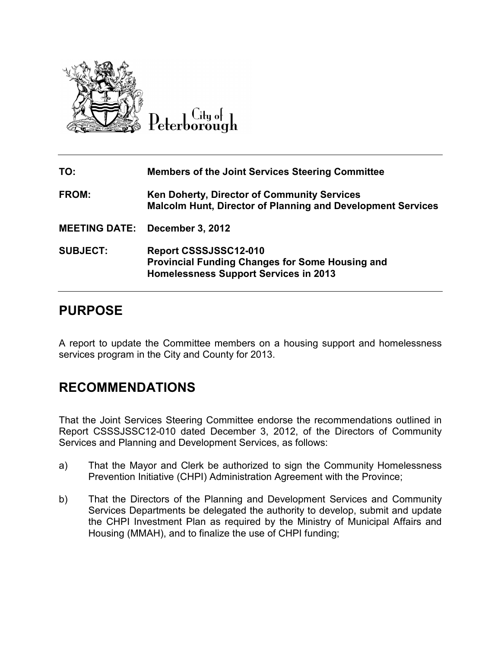

Lity of

| TO:                  | <b>Members of the Joint Services Steering Committee</b>                                                                         |
|----------------------|---------------------------------------------------------------------------------------------------------------------------------|
| FROM:                | <b>Ken Doherty, Director of Community Services</b><br><b>Malcolm Hunt, Director of Planning and Development Services</b>        |
| <b>MEETING DATE:</b> | <b>December 3, 2012</b>                                                                                                         |
| <b>SUBJECT:</b>      | Report CSSSJSSC12-010<br><b>Provincial Funding Changes for Some Housing and</b><br><b>Homelessness Support Services in 2013</b> |

## **PURPOSE**

A report to update the Committee members on a housing support and homelessness services program in the City and County for 2013. A report to update the Committee members on a housing support and homelessness<br>services program in the City and County for 2013.<br>**RECOMMENDATIONS**<br>That the Joint Services Steering Committee endorse the recommendations outl

# **RECOMMENDATIONS S**

Report CSSSJSSC12-010 dated December 3, 2012, of the Directors of Community Services and Planning and Development Services Services, as follows:

- a) That the Mayor and Clerk be authorized to sign the Community Homelessness Prevention Initiative (CHPI) Administration Agreement with the Province;
- b) That the Directors of the Planning and Development Services and Community Services Departments be delegated the authority to develop, submit and update the CHPI Investment Plan as required by the Ministry of Municipal Affairs and Housing (MMAH), and to finalize the use of CHPI funding; That the Directors of the Planning and Development Services and Community<br>Services Departments be delegated the authority to develop, submit and update<br>the CHPI Investment Plan as required by the Ministry of Municipal Affa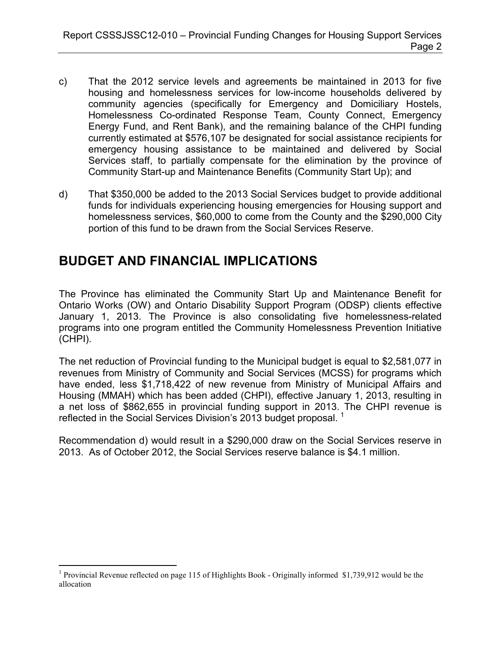- c) That the 2012 service levels and agreements be maintained in 2013 for five housing and homelessness services for low-income households delivered by community agencies (specifically for Emergency and Domiciliary Hostels, Homelessness Co-ordinated Response Team, County Connect, Emergency Energy Fund, and Rent Bank), and the remaining balance of the CHPI funding currently estimated at \$576,107 be designated for social assistance recipients for emergency housing assistance to be maintained and delivered by Social Services staff, to partially compensate for the elimination by the province of Community Start-up and Maintenance Benefits (Community Start Up); and
- d) That \$350,000 be added to the 2013 Social Services budget to provide additional funds for individuals experiencing housing emergencies for Housing support and homelessness services, \$60,000 to come from the County and the \$290,000 City portion of this fund to be drawn from the Social Services Reserve.

# **BUDGET AND FINANCIAL IMPLICATIONS**

The Province has eliminated the Community Start Up and Maintenance Benefit for Ontario Works (OW) and Ontario Disability Support Program (ODSP) clients effective January 1, 2013. The Province is also consolidating five homelessness-related programs into one program entitled the Community Homelessness Prevention Initiative (CHPI).

The net reduction of Provincial funding to the Municipal budget is equal to \$2,581,077 in revenues from Ministry of Community and Social Services (MCSS) for programs which have ended, less \$1,718,422 of new revenue from Ministry of Municipal Affairs and Housing (MMAH) which has been added (CHPI), effective January 1, 2013, resulting in a net loss of \$862,655 in provincial funding support in 2013. The CHPI revenue is reflected in the Social Services Division's 2013 budget proposal.<sup>1</sup>

Recommendation d) would result in a \$290,000 draw on the Social Services reserve in 2013. As of October 2012, the Social Services reserve balance is \$4.1 million.

 $\overline{a}$ <sup>1</sup> Provincial Revenue reflected on page 115 of Highlights Book - Originally informed \$1,739,912 would be the allocation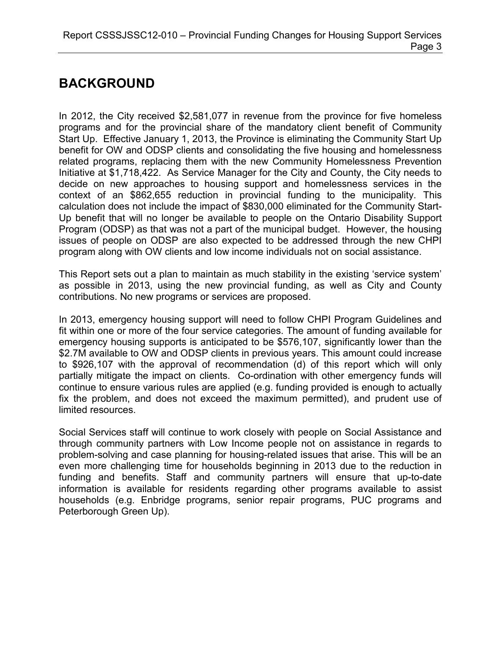# **BACKGROUND**

In 2012, the City received \$2,581,077 in revenue from the province for five homeless programs and for the provincial share of the mandatory client benefit of Community Start Up. Effective January 1, 2013, the Province is eliminating the Community Start Up benefit for OW and ODSP clients and consolidating the five housing and homelessness related programs, replacing them with the new Community Homelessness Prevention Initiative at \$1,718,422. As Service Manager for the City and County, the City needs to decide on new approaches to housing support and homelessness services in the context of an \$862,655 reduction in provincial funding to the municipality. This calculation does not include the impact of \$830,000 eliminated for the Community Start-Up benefit that will no longer be available to people on the Ontario Disability Support Program (ODSP) as that was not a part of the municipal budget. However, the housing issues of people on ODSP are also expected to be addressed through the new CHPI program along with OW clients and low income individuals not on social assistance.

This Report sets out a plan to maintain as much stability in the existing 'service system' as possible in 2013, using the new provincial funding, as well as City and County contributions. No new programs or services are proposed.

In 2013, emergency housing support will need to follow CHPI Program Guidelines and fit within one or more of the four service categories. The amount of funding available for emergency housing supports is anticipated to be \$576,107, significantly lower than the \$2.7M available to OW and ODSP clients in previous years. This amount could increase to \$926,107 with the approval of recommendation (d) of this report which will only partially mitigate the impact on clients. Co-ordination with other emergency funds will continue to ensure various rules are applied (e.g. funding provided is enough to actually fix the problem, and does not exceed the maximum permitted), and prudent use of limited resources.

Social Services staff will continue to work closely with people on Social Assistance and through community partners with Low Income people not on assistance in regards to problem-solving and case planning for housing-related issues that arise. This will be an even more challenging time for households beginning in 2013 due to the reduction in funding and benefits. Staff and community partners will ensure that up-to-date information is available for residents regarding other programs available to assist households (e.g. Enbridge programs, senior repair programs, PUC programs and Peterborough Green Up).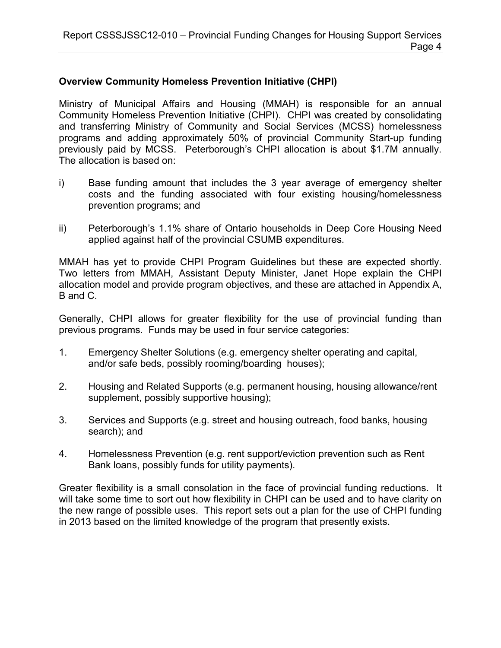## **Overview Community Homeless Prevention Initiative (CHPI)**

Ministry of Municipal Affairs and Housing (MMAH) is responsible for an annual Community Homeless Prevention Initiative (CHPI). CHPI was created by consolidating and transferring Ministry of Community and Social Services (MCSS) homelessness programs and adding approximately 50% of provincial Community Start-up funding previously paid by MCSS. Peterborough's CHPI allocation is about \$1.7M annually. The allocation is based on:

- i) Base funding amount that includes the 3 year average of emergency shelter costs and the funding associated with four existing housing/homelessness prevention programs; and
- ii) Peterborough's 1.1% share of Ontario households in Deep Core Housing Need applied against half of the provincial CSUMB expenditures.

MMAH has yet to provide CHPI Program Guidelines but these are expected shortly. Two letters from MMAH, Assistant Deputy Minister, Janet Hope explain the CHPI allocation model and provide program objectives, and these are attached in Appendix A, B and C.

Generally, CHPI allows for greater flexibility for the use of provincial funding than previous programs. Funds may be used in four service categories:

- 1. Emergency Shelter Solutions (e.g. emergency shelter operating and capital, and/or safe beds, possibly rooming/boarding houses);
- 2. Housing and Related Supports (e.g. permanent housing, housing allowance/rent supplement, possibly supportive housing);
- 3. Services and Supports (e.g. street and housing outreach, food banks, housing search); and
- 4. Homelessness Prevention (e.g. rent support/eviction prevention such as Rent Bank loans, possibly funds for utility payments).

Greater flexibility is a small consolation in the face of provincial funding reductions. It will take some time to sort out how flexibility in CHPI can be used and to have clarity on the new range of possible uses. This report sets out a plan for the use of CHPI funding in 2013 based on the limited knowledge of the program that presently exists.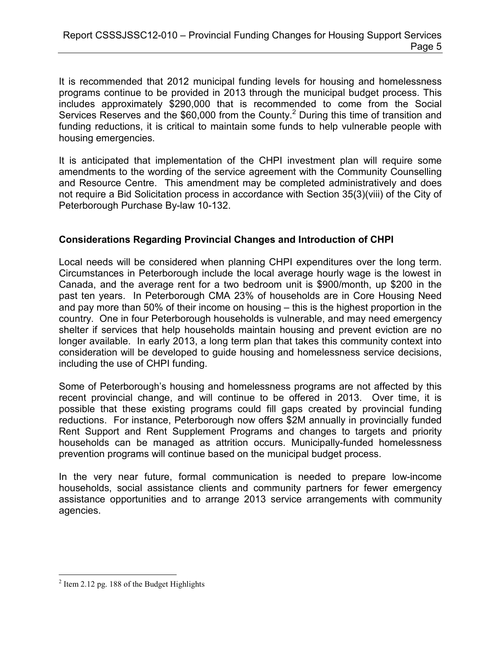It is recommended that 2012 municipal funding levels for housing and homelessness programs continue to be provided in 2013 through the municipal budget process. This includes approximately \$290,000 that is recommended to come from the Social Services Reserves and the \$60,000 from the County.<sup>2</sup> During this time of transition and funding reductions, it is critical to maintain some funds to help vulnerable people with housing emergencies.

It is anticipated that implementation of the CHPI investment plan will require some amendments to the wording of the service agreement with the Community Counselling and Resource Centre. This amendment may be completed administratively and does not require a Bid Solicitation process in accordance with Section 35(3)(viii) of the City of Peterborough Purchase By-law 10-132.

## **Considerations Regarding Provincial Changes and Introduction of CHPI**

Local needs will be considered when planning CHPI expenditures over the long term. Circumstances in Peterborough include the local average hourly wage is the lowest in Canada, and the average rent for a two bedroom unit is \$900/month, up \$200 in the past ten years. In Peterborough CMA 23% of households are in Core Housing Need and pay more than 50% of their income on housing – this is the highest proportion in the country. One in four Peterborough households is vulnerable, and may need emergency shelter if services that help households maintain housing and prevent eviction are no longer available. In early 2013, a long term plan that takes this community context into consideration will be developed to guide housing and homelessness service decisions, including the use of CHPI funding.

Some of Peterborough's housing and homelessness programs are not affected by this recent provincial change, and will continue to be offered in 2013. Over time, it is possible that these existing programs could fill gaps created by provincial funding reductions. For instance, Peterborough now offers \$2M annually in provincially funded Rent Support and Rent Supplement Programs and changes to targets and priority households can be managed as attrition occurs. Municipally-funded homelessness prevention programs will continue based on the municipal budget process.

In the very near future, formal communication is needed to prepare low-income households, social assistance clients and community partners for fewer emergency assistance opportunities and to arrange 2013 service arrangements with community agencies.

<sup>&</sup>lt;sup>2</sup> Item 2.12 pg. 188 of the Budget Highlights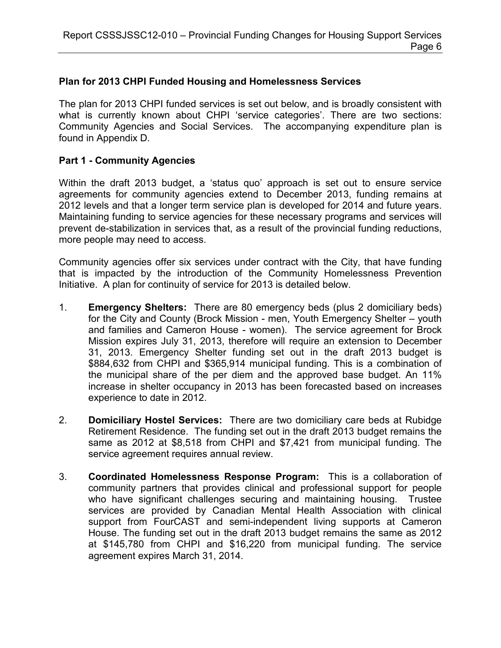#### **Plan for 2013 CHPI Funded Housing and Homelessness Services**

The plan for 2013 CHPI funded services is set out below, and is broadly consistent with what is currently known about CHPI 'service categories'. There are two sections: Community Agencies and Social Services. The accompanying expenditure plan is found in Appendix D.

#### **Part 1 - Community Agencies**

Within the draft 2013 budget, a 'status quo' approach is set out to ensure service agreements for community agencies extend to December 2013, funding remains at 2012 levels and that a longer term service plan is developed for 2014 and future years. Maintaining funding to service agencies for these necessary programs and services will prevent de-stabilization in services that, as a result of the provincial funding reductions, more people may need to access.

Community agencies offer six services under contract with the City, that have funding that is impacted by the introduction of the Community Homelessness Prevention Initiative. A plan for continuity of service for 2013 is detailed below.

- 1. **Emergency Shelters:** There are 80 emergency beds (plus 2 domiciliary beds) for the City and County (Brock Mission - men, Youth Emergency Shelter – youth and families and Cameron House - women). The service agreement for Brock Mission expires July 31, 2013, therefore will require an extension to December 31, 2013. Emergency Shelter funding set out in the draft 2013 budget is \$884,632 from CHPI and \$365,914 municipal funding. This is a combination of the municipal share of the per diem and the approved base budget. An 11% increase in shelter occupancy in 2013 has been forecasted based on increases experience to date in 2012.
- 2. **Domiciliary Hostel Services:** There are two domiciliary care beds at Rubidge Retirement Residence. The funding set out in the draft 2013 budget remains the same as 2012 at \$8,518 from CHPI and \$7,421 from municipal funding. The service agreement requires annual review.
- 3. **Coordinated Homelessness Response Program:** This is a collaboration of community partners that provides clinical and professional support for people who have significant challenges securing and maintaining housing. Trustee services are provided by Canadian Mental Health Association with clinical support from FourCAST and semi-independent living supports at Cameron House. The funding set out in the draft 2013 budget remains the same as 2012 at \$145,780 from CHPI and \$16,220 from municipal funding. The service agreement expires March 31, 2014.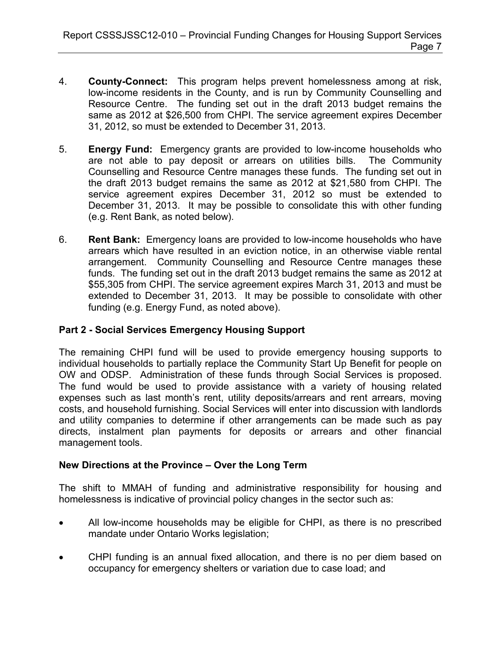- 4. **County-Connect:** This program helps prevent homelessness among at risk, low-income residents in the County, and is run by Community Counselling and Resource Centre. The funding set out in the draft 2013 budget remains the same as 2012 at \$26,500 from CHPI. The service agreement expires December 31, 2012, so must be extended to December 31, 2013.
- 5. **Energy Fund:** Emergency grants are provided to low-income households who are not able to pay deposit or arrears on utilities bills. The Community Counselling and Resource Centre manages these funds. The funding set out in the draft 2013 budget remains the same as 2012 at \$21,580 from CHPI. The service agreement expires December 31, 2012 so must be extended to December 31, 2013. It may be possible to consolidate this with other funding (e.g. Rent Bank, as noted below).
- 6. **Rent Bank:** Emergency loans are provided to low-income households who have arrears which have resulted in an eviction notice, in an otherwise viable rental arrangement. Community Counselling and Resource Centre manages these funds. The funding set out in the draft 2013 budget remains the same as 2012 at \$55,305 from CHPI. The service agreement expires March 31, 2013 and must be extended to December 31, 2013. It may be possible to consolidate with other funding (e.g. Energy Fund, as noted above).

## **Part 2 - Social Services Emergency Housing Support**

The remaining CHPI fund will be used to provide emergency housing supports to individual households to partially replace the Community Start Up Benefit for people on OW and ODSP. Administration of these funds through Social Services is proposed. The fund would be used to provide assistance with a variety of housing related expenses such as last month's rent, utility deposits/arrears and rent arrears, moving costs, and household furnishing. Social Services will enter into discussion with landlords and utility companies to determine if other arrangements can be made such as pay directs, instalment plan payments for deposits or arrears and other financial management tools.

## **New Directions at the Province – Over the Long Term**

The shift to MMAH of funding and administrative responsibility for housing and homelessness is indicative of provincial policy changes in the sector such as:

- All low-income households may be eligible for CHPI, as there is no prescribed mandate under Ontario Works legislation;
- CHPI funding is an annual fixed allocation, and there is no per diem based on occupancy for emergency shelters or variation due to case load; and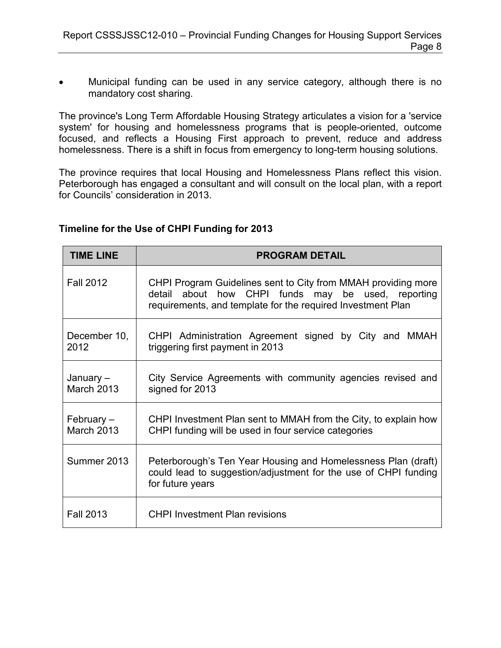• Municipal funding can be used in any service category, although there is no mandatory cost sharing.

The province's Long Term Affordable Housing Strategy articulates a vision for a 'service system' for housing and homelessness programs that is people-oriented, outcome focused, and reflects a Housing First approach to prevent, reduce and address homelessness. There is a shift in focus from emergency to long-term housing solutions.

The province requires that local Housing and Homelessness Plans reflect this vision. Peterborough has engaged a consultant and will consult on the local plan, with a report for Councils' consideration in 2013.

| Timeline for the Use of CHPI Funding for 2013 |  |  |
|-----------------------------------------------|--|--|
|-----------------------------------------------|--|--|

| <b>TIME LINE</b>                | <b>PROGRAM DETAIL</b>                                                                                                                                                              |
|---------------------------------|------------------------------------------------------------------------------------------------------------------------------------------------------------------------------------|
| <b>Fall 2012</b>                | CHPI Program Guidelines sent to City from MMAH providing more<br>detail about how CHPI funds may be used, reporting<br>requirements, and template for the required Investment Plan |
| December 10,<br>2012            | CHPI Administration Agreement signed by City and MMAH<br>triggering first payment in 2013                                                                                          |
| January-<br><b>March 2013</b>   | City Service Agreements with community agencies revised and<br>signed for 2013                                                                                                     |
| February –<br><b>March 2013</b> | CHPI Investment Plan sent to MMAH from the City, to explain how<br>CHPI funding will be used in four service categories                                                            |
| Summer 2013                     | Peterborough's Ten Year Housing and Homelessness Plan (draft)<br>could lead to suggestion/adjustment for the use of CHPI funding<br>for future years                               |
| <b>Fall 2013</b>                | <b>CHPI Investment Plan revisions</b>                                                                                                                                              |